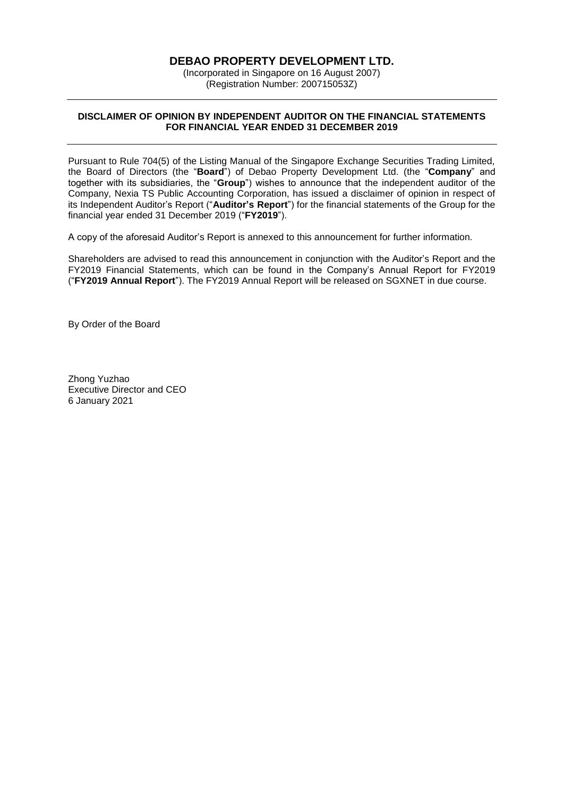### **DEBAO PROPERTY DEVELOPMENT LTD.**

(Incorporated in Singapore on 16 August 2007) (Registration Number: 200715053Z)

### **DISCLAIMER OF OPINION BY INDEPENDENT AUDITOR ON THE FINANCIAL STATEMENTS FOR FINANCIAL YEAR ENDED 31 DECEMBER 2019**

Pursuant to Rule 704(5) of the Listing Manual of the Singapore Exchange Securities Trading Limited, the Board of Directors (the "**Board**") of Debao Property Development Ltd. (the "**Company**" and together with its subsidiaries, the "**Group**") wishes to announce that the independent auditor of the Company, Nexia TS Public Accounting Corporation, has issued a disclaimer of opinion in respect of its Independent Auditor's Report ("**Auditor's Report**") for the financial statements of the Group for the financial year ended 31 December 2019 ("**FY2019**").

A copy of the aforesaid Auditor's Report is annexed to this announcement for further information.

Shareholders are advised to read this announcement in conjunction with the Auditor's Report and the FY2019 Financial Statements, which can be found in the Company's Annual Report for FY2019 ("**FY2019 Annual Report**"). The FY2019 Annual Report will be released on SGXNET in due course.

By Order of the Board

Zhong Yuzhao Executive Director and CEO 6 January 2021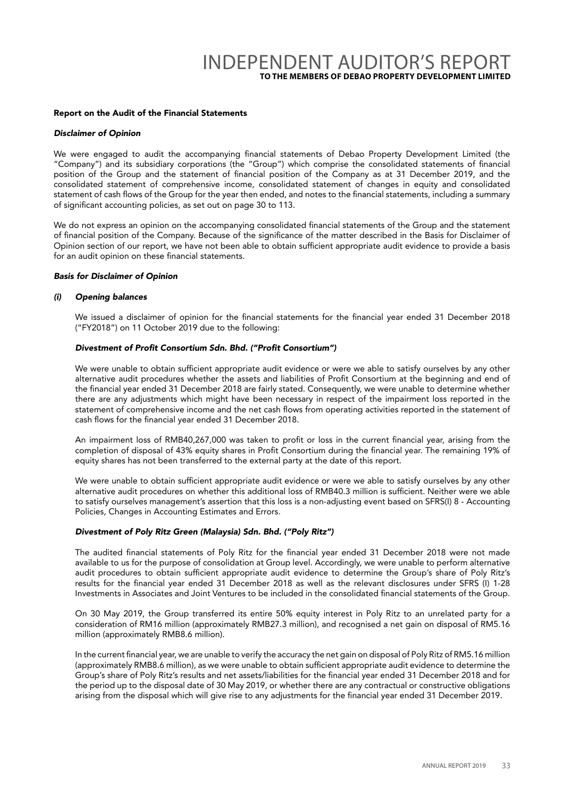# INDEPENDENT AUDITOR'S REPORT **TO THE MEMBERS OF DEBAO PROPERTY DEVELOPMENT LIMITED**

#### Report on the Audit of the Financial Statements

#### *Disclaimer of Opinion*

We were engaged to audit the accompanying financial statements of Debao Property Development Limited (the "Company") and its subsidiary corporations (the "Group") which comprise the consolidated statements of financial position of the Group and the statement of financial position of the Company as at 31 December 2019, and the consolidated statement of comprehensive income, consolidated statement of changes in equity and consolidated statement of cash flows of the Group for the year then ended, and notes to the financial statements, including a summary of significant accounting policies, as set out on page 30 to 113.

We do not express an opinion on the accompanying consolidated financial statements of the Group and the statement of financial position of the Company. Because of the significance of the matter described in the Basis for Disclaimer of Opinion section of our report, we have not been able to obtain sufficient appropriate audit evidence to provide a basis for an audit opinion on these financial statements.

#### *Basis for Disclaimer of Opinion*

#### *(i) Opening balances*

We issued a disclaimer of opinion for the financial statements for the financial year ended 31 December 2018 ("FY2018") on 11 October 2019 due to the following:

#### Divestment of Profit Consortium Sdn. Bhd. ("Profit Consortium")

We were unable to obtain sufficient appropriate audit evidence or were we able to satisfy ourselves by any other alternative audit procedures whether the assets and liabilities of Profit Consortium at the beginning and end of the financial year ended 31 December 2018 are fairly stated. Consequently, we were unable to determine whether there are any adjustments which might have been necessary in respect of the impairment loss reported in the statement of comprehensive income and the net cash flows from operating activities reported in the statement of cash flows for the financial year ended 31 December 2018.

An impairment loss of RMB40,267,000 was taken to profit or loss in the current financial year, arising from the completion of disposal of 43% equity shares in Profit Consortium during the financial year. The remaining 19% of equity shares has not been transferred to the external party at the date of this report.

We were unable to obtain sufficient appropriate audit evidence or were we able to satisfy ourselves by any other alternative audit procedures on whether this additional loss of RMB40.3 million is sufficient. Neither were we able to satisfy ourselves management's assertion that this loss is a non-adjusting event based on SFRS(I) 8 - Accounting Policies, Changes in Accounting Estimates and Errors.

#### Divestment of Poly Ritz Green (Malaysia) Sdn. Bhd. ("Poly Ritz")

The audited financial statements of Poly Ritz for the financial year ended 31 December 2018 were not made available to us for the purpose of consolidation at Group level. Accordingly, we were unable to perform alternative audit procedures to obtain sufficient appropriate audit evidence to determine the Group's share of Poly Ritz's results for the financial year ended 31 December 2018 as well as the relevant disclosures under SFRS (I) 1-28 Investments in Associates and Joint Ventures to be included in the consolidated financial statements of the Group.

On 30 May 2019, the Group transferred its entire 50% equity interest in Poly Ritz to an unrelated party for a consideration of RM16 million (approximately RMB27.3 million), and recognised a net gain on disposal of RM5.16 million (approximately RMB8.6 million).

In the current financial year, we are unable to verify the accuracy the net gain on disposal of Poly Ritz of RM5.16 million (approximately RMB8.6 million), as we were unable to obtain sufficient appropriate audit evidence to determine the Group's share of Poly Ritz's results and net assets/liabilities for the financial year ended 31 December 2018 and for the period up to the disposal date of 30 May 2019, or whether there are any contractual or constructive obligations arising from the disposal which will give rise to any adjustments for the financial year ended 31 December 2019.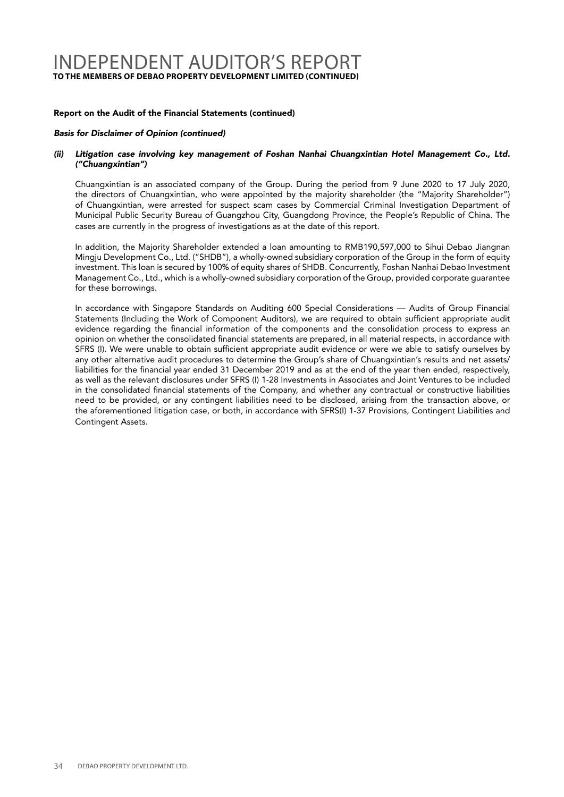## INDEPENDENT AUDITOR'S REPORT **TO THE MEMBERS OF DEBAO PROPERTY DEVELOPMENT LIMITED (CONTINUED)**

#### Report on the Audit of the Financial Statements (continued)

#### Basis for Disclaimer of Opinion (continued)

#### (ii) Litigation case involving key management of Foshan Nanhai Chuangxintian Hotel Management Co., Ltd. ("Chuangxintian")

Chuangxintian is an associated company of the Group. During the period from 9 June 2020 to 17 July 2020, the directors of Chuangxintian, who were appointed by the majority shareholder (the "Majority Shareholder") of Chuangxintian, were arrested for suspect scam cases by Commercial Criminal Investigation Department of Municipal Public Security Bureau of Guangzhou City, Guangdong Province, the People's Republic of China. The cases are currently in the progress of investigations as at the date of this report.

In addition, the Majority Shareholder extended a loan amounting to RMB190,597,000 to Sihui Debao Jiangnan Mingju Development Co., Ltd. ("SHDB"), a wholly-owned subsidiary corporation of the Group in the form of equity investment. This loan is secured by 100% of equity shares of SHDB. Concurrently, Foshan Nanhai Debao Investment Management Co., Ltd., which is a wholly-owned subsidiary corporation of the Group, provided corporate guarantee for these borrowings.

In accordance with Singapore Standards on Auditing 600 Special Considerations — Audits of Group Financial Statements (Including the Work of Component Auditors), we are required to obtain sufficient appropriate audit evidence regarding the financial information of the components and the consolidation process to express an opinion on whether the consolidated financial statements are prepared, in all material respects, in accordance with SFRS (I). We were unable to obtain sufficient appropriate audit evidence or were we able to satisfy ourselves by any other alternative audit procedures to determine the Group's share of Chuangxintian's results and net assets/ liabilities for the financial year ended 31 December 2019 and as at the end of the year then ended, respectively, as well as the relevant disclosures under SFRS (I) 1-28 Investments in Associates and Joint Ventures to be included in the consolidated financial statements of the Company, and whether any contractual or constructive liabilities need to be provided, or any contingent liabilities need to be disclosed, arising from the transaction above, or the aforementioned litigation case, or both, in accordance with SFRS(I) 1-37 Provisions, Contingent Liabilities and Contingent Assets.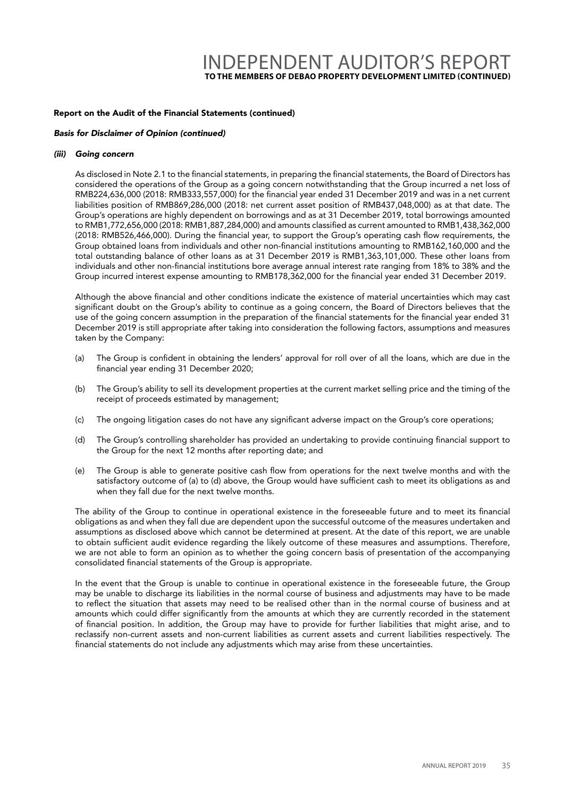# INDEPENDENT AUDITOR'S REPORT **TO THE MEMBERS OF DEBAO PROPERTY DEVELOPMENT LIMITED (CONTINUED)**

#### Report on the Audit of the Financial Statements (continued)

#### Basis for Disclaimer of Opinion (continued)

#### *(iii) Going concern*

As disclosed in Note 2.1 to the financial statements, in preparing the financial statements, the Board of Directors has considered the operations of the Group as a going concern notwithstanding that the Group incurred a net loss of RMB224,636,000 (2018: RMB333,557,000) for the financial year ended 31 December 2019 and was in a net current liabilities position of RMB869,286,000 (2018: net current asset position of RMB437,048,000) as at that date. The Group's operations are highly dependent on borrowings and as at 31 December 2019, total borrowings amounted to RMB1,772,656,000 (2018: RMB1,887,284,000) and amounts classified as current amounted to RMB1,438,362,000 (2018: RMB526,466,000). During the financial year, to support the Group's operating cash flow requirements, the Group obtained loans from individuals and other non-financial institutions amounting to RMB162,160,000 and the total outstanding balance of other loans as at 31 December 2019 is RMB1,363,101,000. These other loans from individuals and other non-financial institutions bore average annual interest rate ranging from 18% to 38% and the Group incurred interest expense amounting to RMB178,362,000 for the financial year ended 31 December 2019.

Although the above financial and other conditions indicate the existence of material uncertainties which may cast significant doubt on the Group's ability to continue as a going concern, the Board of Directors believes that the use of the going concern assumption in the preparation of the financial statements for the financial year ended 31 December 2019 is still appropriate after taking into consideration the following factors, assumptions and measures taken by the Company:

- (a) The Group is confident in obtaining the lenders' approval for roll over of all the loans, which are due in the financial year ending 31 December 2020;
- (b) The Group's ability to sell its development properties at the current market selling price and the timing of the receipt of proceeds estimated by management;
- (c) The ongoing litigation cases do not have any significant adverse impact on the Group's core operations;
- (d) The Group's controlling shareholder has provided an undertaking to provide continuing financial support to the Group for the next 12 months after reporting date; and
- (e) The Group is able to generate positive cash flow from operations for the next twelve months and with the satisfactory outcome of (a) to (d) above, the Group would have sufficient cash to meet its obligations as and when they fall due for the next twelve months.

The ability of the Group to continue in operational existence in the foreseeable future and to meet its financial obligations as and when they fall due are dependent upon the successful outcome of the measures undertaken and assumptions as disclosed above which cannot be determined at present. At the date of this report, we are unable to obtain sufficient audit evidence regarding the likely outcome of these measures and assumptions. Therefore, we are not able to form an opinion as to whether the going concern basis of presentation of the accompanying consolidated financial statements of the Group is appropriate.

In the event that the Group is unable to continue in operational existence in the foreseeable future, the Group may be unable to discharge its liabilities in the normal course of business and adjustments may have to be made to reflect the situation that assets may need to be realised other than in the normal course of business and at amounts which could differ significantly from the amounts at which they are currently recorded in the statement of financial position. In addition, the Group may have to provide for further liabilities that might arise, and to reclassify non-current assets and non-current liabilities as current assets and current liabilities respectively. The financial statements do not include any adjustments which may arise from these uncertainties.